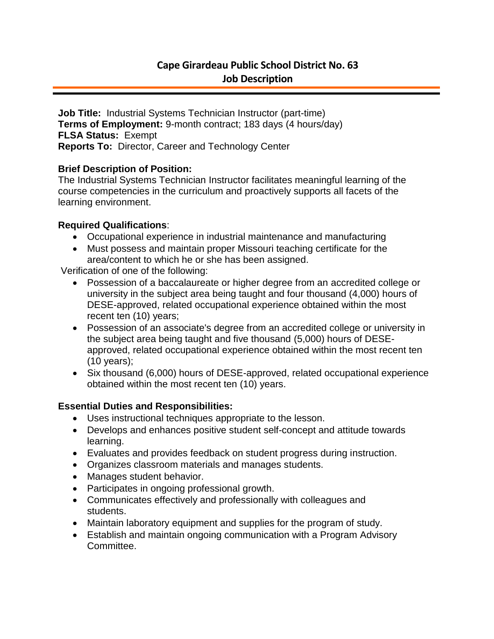# **Cape Girardeau Public School District No. 63 Job Description**

**Job Title:** Industrial Systems Technician Instructor (part-time) **Terms of Employment:** 9-month contract; 183 days (4 hours/day) **FLSA Status:** Exempt **Reports To:** Director, Career and Technology Center

## **Brief Description of Position:**

The Industrial Systems Technician Instructor facilitates meaningful learning of the course competencies in the curriculum and proactively supports all facets of the learning environment.

## **Required Qualifications**:

- Occupational experience in industrial maintenance and manufacturing
- Must possess and maintain proper Missouri teaching certificate for the area/content to which he or she has been assigned.

Verification of one of the following:

- Possession of a baccalaureate or higher degree from an accredited college or university in the subject area being taught and four thousand (4,000) hours of DESE-approved, related occupational experience obtained within the most recent ten (10) years;
- Possession of an associate's degree from an accredited college or university in the subject area being taught and five thousand (5,000) hours of DESEapproved, related occupational experience obtained within the most recent ten (10 years);
- Six thousand (6,000) hours of DESE-approved, related occupational experience obtained within the most recent ten (10) years.

# **Essential Duties and Responsibilities:**

- Uses instructional techniques appropriate to the lesson.
- Develops and enhances positive student self-concept and attitude towards learning.
- Evaluates and provides feedback on student progress during instruction.
- Organizes classroom materials and manages students.
- Manages student behavior.
- Participates in ongoing professional growth.
- Communicates effectively and professionally with colleagues and students.
- Maintain laboratory equipment and supplies for the program of study.
- Establish and maintain ongoing communication with a Program Advisory Committee.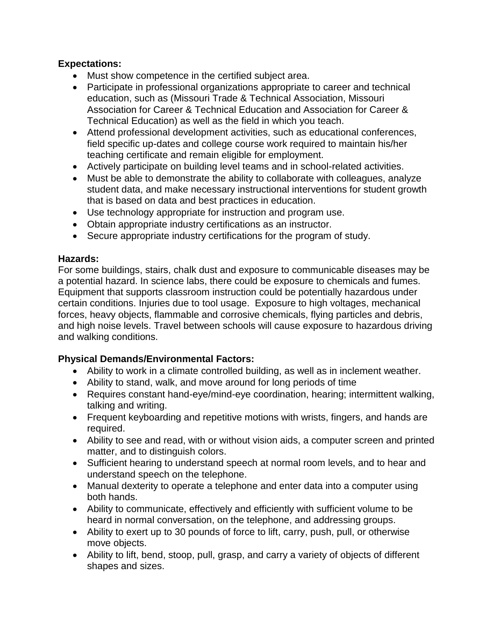## **Expectations:**

- Must show competence in the certified subject area.
- Participate in professional organizations appropriate to career and technical education, such as (Missouri Trade & Technical Association, Missouri Association for Career & Technical Education and Association for Career & Technical Education) as well as the field in which you teach.
- Attend professional development activities, such as educational conferences, field specific up-dates and college course work required to maintain his/her teaching certificate and remain eligible for employment.
- Actively participate on building level teams and in school-related activities.
- Must be able to demonstrate the ability to collaborate with colleagues, analyze student data, and make necessary instructional interventions for student growth that is based on data and best practices in education.
- Use technology appropriate for instruction and program use.
- Obtain appropriate industry certifications as an instructor.
- Secure appropriate industry certifications for the program of study.

## **Hazards:**

For some buildings, stairs, chalk dust and exposure to communicable diseases may be a potential hazard. In science labs, there could be exposure to chemicals and fumes. Equipment that supports classroom instruction could be potentially hazardous under certain conditions. Injuries due to tool usage. Exposure to high voltages, mechanical forces, heavy objects, flammable and corrosive chemicals, flying particles and debris, and high noise levels. Travel between schools will cause exposure to hazardous driving and walking conditions.

## **Physical Demands/Environmental Factors:**

- Ability to work in a climate controlled building, as well as in inclement weather.
- Ability to stand, walk, and move around for long periods of time
- Requires constant hand-eye/mind-eye coordination, hearing; intermittent walking, talking and writing.
- Frequent keyboarding and repetitive motions with wrists, fingers, and hands are required.
- Ability to see and read, with or without vision aids, a computer screen and printed matter, and to distinguish colors.
- Sufficient hearing to understand speech at normal room levels, and to hear and understand speech on the telephone.
- Manual dexterity to operate a telephone and enter data into a computer using both hands.
- Ability to communicate, effectively and efficiently with sufficient volume to be heard in normal conversation, on the telephone, and addressing groups.
- Ability to exert up to 30 pounds of force to lift, carry, push, pull, or otherwise move objects.
- Ability to lift, bend, stoop, pull, grasp, and carry a variety of objects of different shapes and sizes.